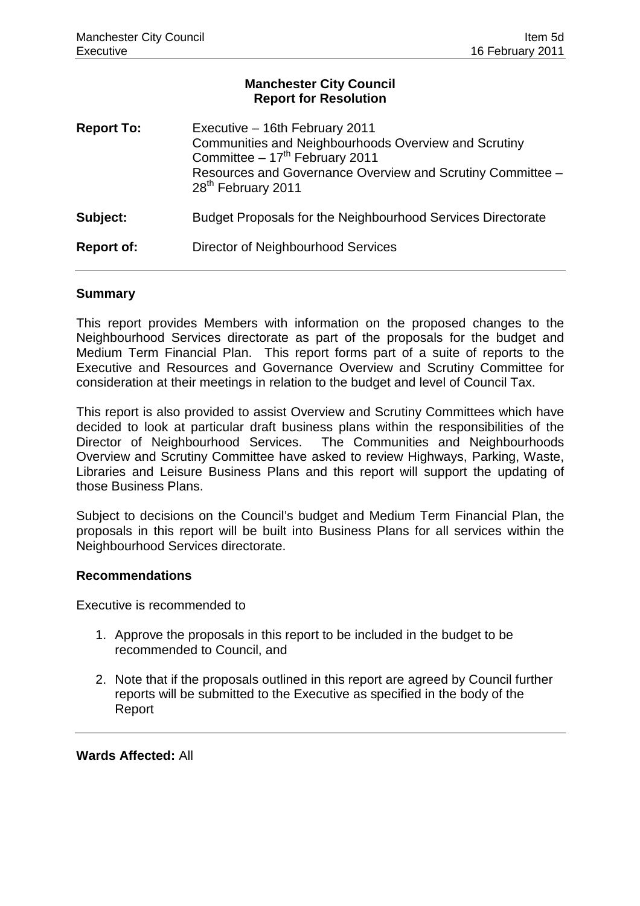### **Manchester City Council Report for Resolution**

| <b>Report To:</b> | Executive - 16th February 2011<br>Communities and Neighbourhoods Overview and Scrutiny<br>Committee - 17 <sup>th</sup> February 2011<br>Resources and Governance Overview and Scrutiny Committee -<br>28 <sup>th</sup> February 2011 |
|-------------------|--------------------------------------------------------------------------------------------------------------------------------------------------------------------------------------------------------------------------------------|
| Subject:          | Budget Proposals for the Neighbourhood Services Directorate                                                                                                                                                                          |
| <b>Report of:</b> | Director of Neighbourhood Services                                                                                                                                                                                                   |

#### **Summary**

This report provides Members with information on the proposed changes to the Neighbourhood Services directorate as part of the proposals for the budget and Medium Term Financial Plan. This report forms part of a suite of reports to the Executive and Resources and Governance Overview and Scrutiny Committee for consideration at their meetings in relation to the budget and level of Council Tax.

This report is also provided to assist Overview and Scrutiny Committees which have decided to look at particular draft business plans within the responsibilities of the Director of Neighbourhood Services. The Communities and Neighbourhoods Overview and Scrutiny Committee have asked to review Highways, Parking, Waste, Libraries and Leisure Business Plans and this report will support the updating of those Business Plans.

Subject to decisions on the Council's budget and Medium Term Financial Plan, the proposals in this report will be built into Business Plans for all services within the Neighbourhood Services directorate.

### **Recommendations**

Executive is recommended to

- 1. Approve the proposals in this report to be included in the budget to be recommended to Council, and
- 2. Note that if the proposals outlined in this report are agreed by Council further reports will be submitted to the Executive as specified in the body of the Report

**Wards Affected:** All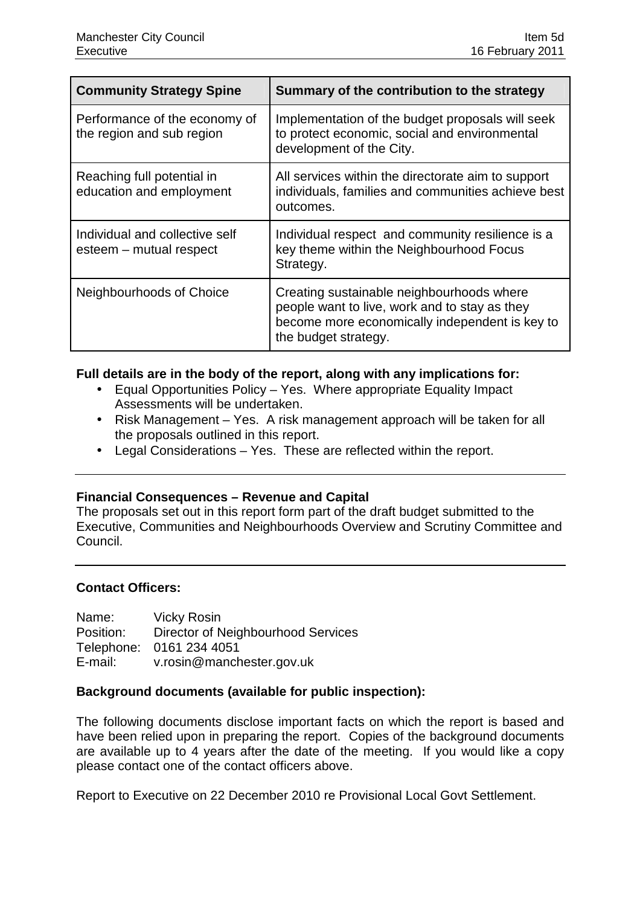| <b>Community Strategy Spine</b>                            | Summary of the contribution to the strategy                                                                                                                          |
|------------------------------------------------------------|----------------------------------------------------------------------------------------------------------------------------------------------------------------------|
| Performance of the economy of<br>the region and sub region | Implementation of the budget proposals will seek<br>to protect economic, social and environmental<br>development of the City.                                        |
| Reaching full potential in<br>education and employment     | All services within the directorate aim to support<br>individuals, families and communities achieve best<br>outcomes.                                                |
| Individual and collective self<br>esteem - mutual respect  | Individual respect and community resilience is a<br>key theme within the Neighbourhood Focus<br>Strategy.                                                            |
| Neighbourhoods of Choice                                   | Creating sustainable neighbourhoods where<br>people want to live, work and to stay as they<br>become more economically independent is key to<br>the budget strategy. |

### **Full details are in the body of the report, along with any implications for:**

- Equal Opportunities Policy Yes. Where appropriate Equality Impact Assessments will be undertaken.
- Risk Management Yes. A risk management approach will be taken for all the proposals outlined in this report.
- Legal Considerations Yes. These are reflected within the report.

### **Financial Consequences – Revenue and Capital**

The proposals set out in this report form part of the draft budget submitted to the Executive, Communities and Neighbourhoods Overview and Scrutiny Committee and Council.

# **Contact Officers:**

Name: Vicky Rosin Position: Director of Neighbourhood Services Telephone: 0161 234 4051 E-mail: v.rosin@manchester.gov.uk

### **Background documents (available for public inspection):**

The following documents disclose important facts on which the report is based and have been relied upon in preparing the report. Copies of the background documents are available up to 4 years after the date of the meeting. If you would like a copy please contact one of the contact officers above.

Report to Executive on 22 December 2010 re Provisional Local Govt Settlement.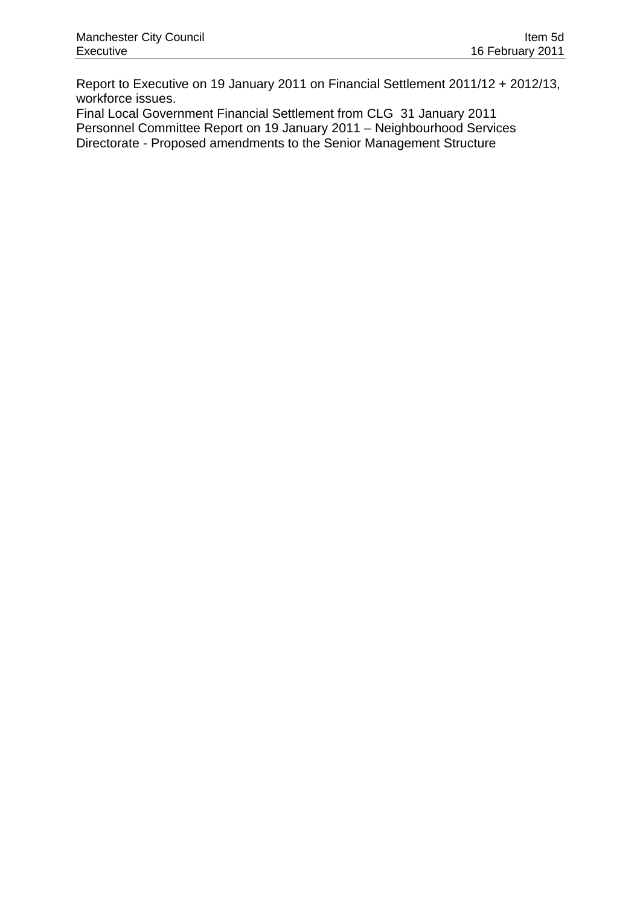Report to Executive on 19 January 2011 on Financial Settlement 2011/12 + 2012/13, workforce issues.

Final Local Government Financial Settlement from CLG 31 January 2011 Personnel Committee Report on 19 January 2011 – Neighbourhood Services Directorate - Proposed amendments to the Senior Management Structure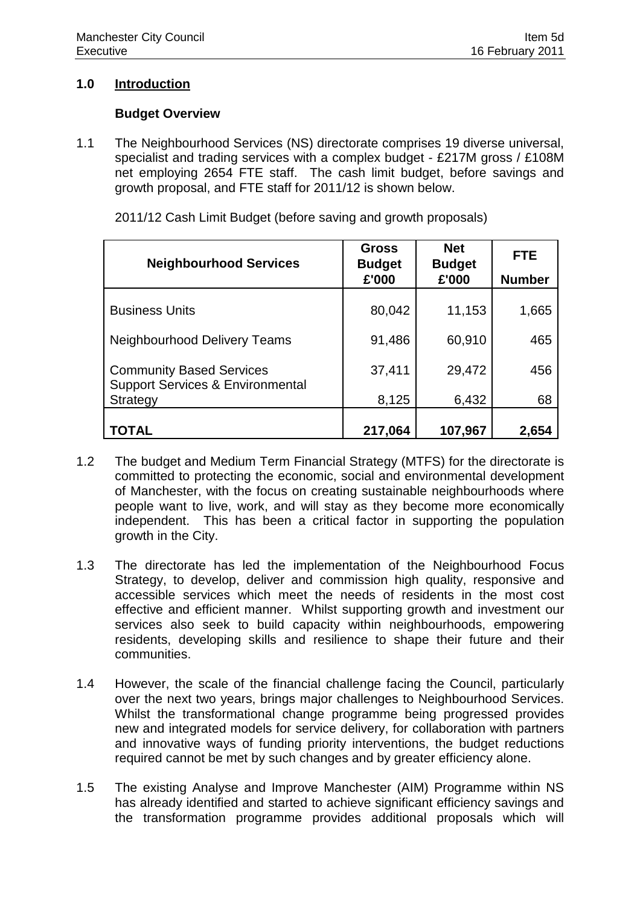## **1.0 Introduction**

### **Budget Overview**

1.1 The Neighbourhood Services (NS) directorate comprises 19 diverse universal, specialist and trading services with a complex budget - £217M gross / £108M net employing 2654 FTE staff. The cash limit budget, before savings and growth proposal, and FTE staff for 2011/12 is shown below.

| <b>Neighbourhood Services</b>                                                  | <b>Gross</b><br><b>Budget</b> | <b>Net</b><br><b>Budget</b> | <b>FTE</b>    |  |
|--------------------------------------------------------------------------------|-------------------------------|-----------------------------|---------------|--|
|                                                                                | £'000                         | £'000                       | <b>Number</b> |  |
| <b>Business Units</b>                                                          | 80,042                        | 11,153                      | 1,665         |  |
| <b>Neighbourhood Delivery Teams</b>                                            | 91,486                        | 60,910                      | 465           |  |
| <b>Community Based Services</b><br><b>Support Services &amp; Environmental</b> | 37,411                        | 29,472                      | 456           |  |
| Strategy                                                                       | 8,125                         | 6,432                       | 68            |  |
| TOTAL                                                                          | 217,064                       | 107,967                     | 2,654         |  |

2011/12 Cash Limit Budget (before saving and growth proposals)

- 1.2 The budget and Medium Term Financial Strategy (MTFS) for the directorate is committed to protecting the economic, social and environmental development of Manchester, with the focus on creating sustainable neighbourhoods where people want to live, work, and will stay as they become more economically independent. This has been a critical factor in supporting the population growth in the City.
- 1.3 The directorate has led the implementation of the Neighbourhood Focus Strategy, to develop, deliver and commission high quality, responsive and accessible services which meet the needs of residents in the most cost effective and efficient manner. Whilst supporting growth and investment our services also seek to build capacity within neighbourhoods, empowering residents, developing skills and resilience to shape their future and their communities.
- 1.4 However, the scale of the financial challenge facing the Council, particularly over the next two years, brings major challenges to Neighbourhood Services. Whilst the transformational change programme being progressed provides new and integrated models for service delivery, for collaboration with partners and innovative ways of funding priority interventions, the budget reductions required cannot be met by such changes and by greater efficiency alone.
- 1.5 The existing Analyse and Improve Manchester (AIM) Programme within NS has already identified and started to achieve significant efficiency savings and the transformation programme provides additional proposals which will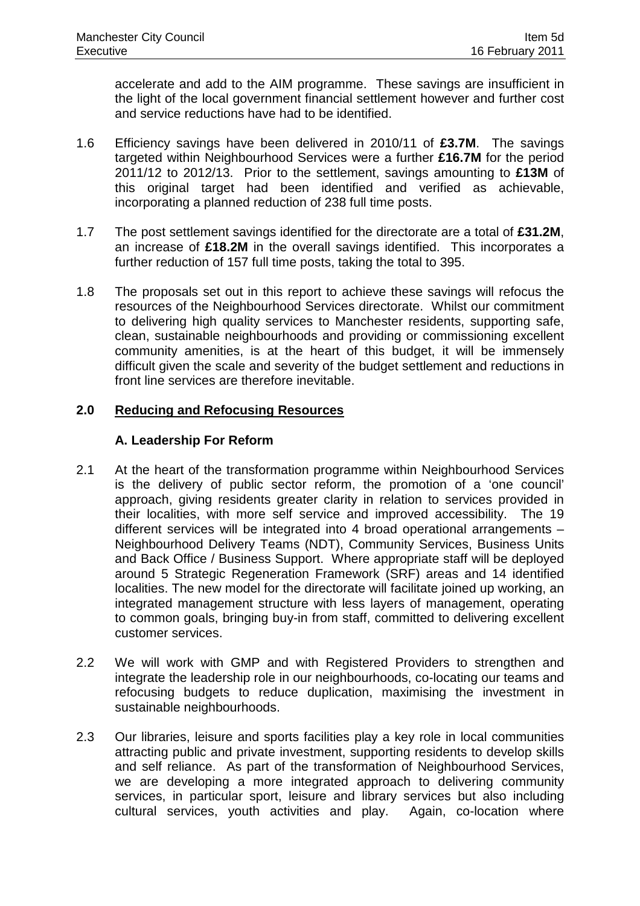accelerate and add to the AIM programme. These savings are insufficient in the light of the local government financial settlement however and further cost and service reductions have had to be identified.

- 1.6 Efficiency savings have been delivered in 2010/11 of **£3.7M**. The savings targeted within Neighbourhood Services were a further **£16.7M** for the period 2011/12 to 2012/13. Prior to the settlement, savings amounting to **£13M** of this original target had been identified and verified as achievable, incorporating a planned reduction of 238 full time posts.
- 1.7 The post settlement savings identified for the directorate are a total of **£31.2M**, an increase of **£18.2M** in the overall savings identified. This incorporates a further reduction of 157 full time posts, taking the total to 395.
- 1.8 The proposals set out in this report to achieve these savings will refocus the resources of the Neighbourhood Services directorate. Whilst our commitment to delivering high quality services to Manchester residents, supporting safe, clean, sustainable neighbourhoods and providing or commissioning excellent community amenities, is at the heart of this budget, it will be immensely difficult given the scale and severity of the budget settlement and reductions in front line services are therefore inevitable.

# **2.0 Reducing and Refocusing Resources**

### **A. Leadership For Reform**

- 2.1 At the heart of the transformation programme within Neighbourhood Services is the delivery of public sector reform, the promotion of a 'one council' approach, giving residents greater clarity in relation to services provided in their localities, with more self service and improved accessibility. The 19 different services will be integrated into 4 broad operational arrangements – Neighbourhood Delivery Teams (NDT), Community Services, Business Units and Back Office / Business Support. Where appropriate staff will be deployed around 5 Strategic Regeneration Framework (SRF) areas and 14 identified localities. The new model for the directorate will facilitate joined up working, an integrated management structure with less layers of management, operating to common goals, bringing buy-in from staff, committed to delivering excellent customer services.
- 2.2 We will work with GMP and with Registered Providers to strengthen and integrate the leadership role in our neighbourhoods, co-locating our teams and refocusing budgets to reduce duplication, maximising the investment in sustainable neighbourhoods.
- 2.3 Our libraries, leisure and sports facilities play a key role in local communities attracting public and private investment, supporting residents to develop skills and self reliance. As part of the transformation of Neighbourhood Services, we are developing a more integrated approach to delivering community services, in particular sport, leisure and library services but also including cultural services, youth activities and play. Again, co-location where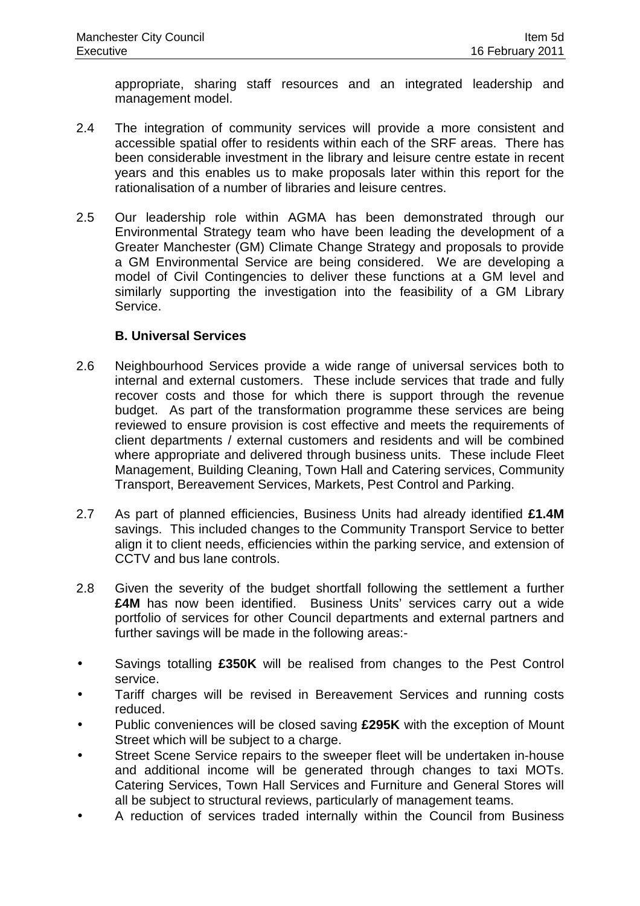appropriate, sharing staff resources and an integrated leadership and management model.

- 2.4 The integration of community services will provide a more consistent and accessible spatial offer to residents within each of the SRF areas. There has been considerable investment in the library and leisure centre estate in recent years and this enables us to make proposals later within this report for the rationalisation of a number of libraries and leisure centres.
- 2.5 Our leadership role within AGMA has been demonstrated through our Environmental Strategy team who have been leading the development of a Greater Manchester (GM) Climate Change Strategy and proposals to provide a GM Environmental Service are being considered. We are developing a model of Civil Contingencies to deliver these functions at a GM level and similarly supporting the investigation into the feasibility of a GM Library Service.

# **B. Universal Services**

- 2.6 Neighbourhood Services provide a wide range of universal services both to internal and external customers. These include services that trade and fully recover costs and those for which there is support through the revenue budget. As part of the transformation programme these services are being reviewed to ensure provision is cost effective and meets the requirements of client departments / external customers and residents and will be combined where appropriate and delivered through business units. These include Fleet Management, Building Cleaning, Town Hall and Catering services, Community Transport, Bereavement Services, Markets, Pest Control and Parking.
- 2.7 As part of planned efficiencies, Business Units had already identified **£1.4M** savings. This included changes to the Community Transport Service to better align it to client needs, efficiencies within the parking service, and extension of CCTV and bus lane controls.
- 2.8 Given the severity of the budget shortfall following the settlement a further **£4M** has now been identified. Business Units' services carry out a wide portfolio of services for other Council departments and external partners and further savings will be made in the following areas:-
- Savings totalling **£350K** will be realised from changes to the Pest Control service.
- Tariff charges will be revised in Bereavement Services and running costs reduced.
- Public conveniences will be closed saving **£295K** with the exception of Mount Street which will be subject to a charge.
- Street Scene Service repairs to the sweeper fleet will be undertaken in-house and additional income will be generated through changes to taxi MOTs. Catering Services, Town Hall Services and Furniture and General Stores will all be subject to structural reviews, particularly of management teams.
- A reduction of services traded internally within the Council from Business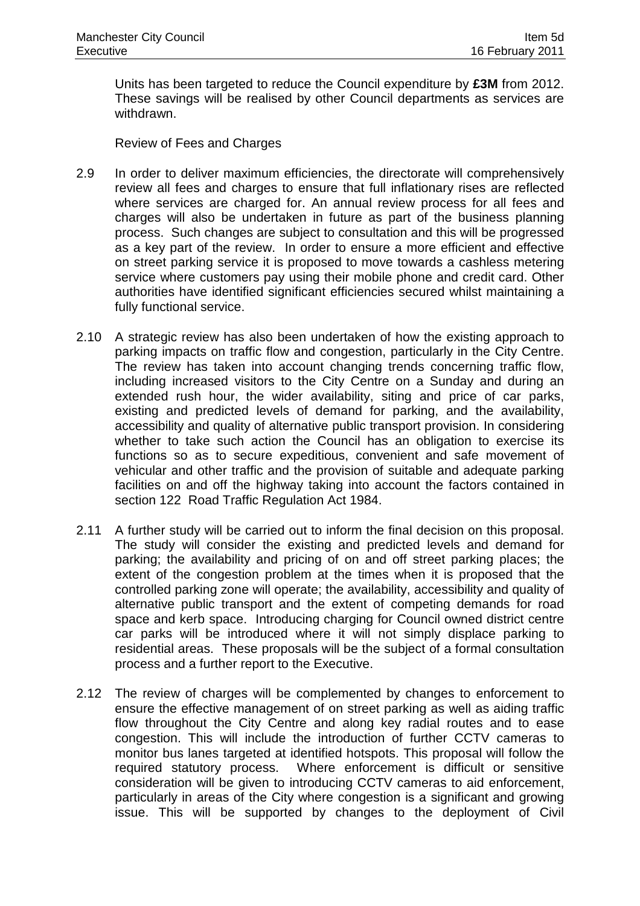Units has been targeted to reduce the Council expenditure by **£3M** from 2012. These savings will be realised by other Council departments as services are withdrawn.

Review of Fees and Charges

- 2.9 In order to deliver maximum efficiencies, the directorate will comprehensively review all fees and charges to ensure that full inflationary rises are reflected where services are charged for. An annual review process for all fees and charges will also be undertaken in future as part of the business planning process. Such changes are subject to consultation and this will be progressed as a key part of the review. In order to ensure a more efficient and effective on street parking service it is proposed to move towards a cashless metering service where customers pay using their mobile phone and credit card. Other authorities have identified significant efficiencies secured whilst maintaining a fully functional service.
- 2.10 A strategic review has also been undertaken of how the existing approach to parking impacts on traffic flow and congestion, particularly in the City Centre. The review has taken into account changing trends concerning traffic flow, including increased visitors to the City Centre on a Sunday and during an extended rush hour, the wider availability, siting and price of car parks, existing and predicted levels of demand for parking, and the availability, accessibility and quality of alternative public transport provision. In considering whether to take such action the Council has an obligation to exercise its functions so as to secure expeditious, convenient and safe movement of vehicular and other traffic and the provision of suitable and adequate parking facilities on and off the highway taking into account the factors contained in section 122 Road Traffic Regulation Act 1984.
- 2.11 A further study will be carried out to inform the final decision on this proposal. The study will consider the existing and predicted levels and demand for parking; the availability and pricing of on and off street parking places; the extent of the congestion problem at the times when it is proposed that the controlled parking zone will operate; the availability, accessibility and quality of alternative public transport and the extent of competing demands for road space and kerb space. Introducing charging for Council owned district centre car parks will be introduced where it will not simply displace parking to residential areas. These proposals will be the subject of a formal consultation process and a further report to the Executive.
- 2.12 The review of charges will be complemented by changes to enforcement to ensure the effective management of on street parking as well as aiding traffic flow throughout the City Centre and along key radial routes and to ease congestion. This will include the introduction of further CCTV cameras to monitor bus lanes targeted at identified hotspots. This proposal will follow the required statutory process. Where enforcement is difficult or sensitive consideration will be given to introducing CCTV cameras to aid enforcement, particularly in areas of the City where congestion is a significant and growing issue. This will be supported by changes to the deployment of Civil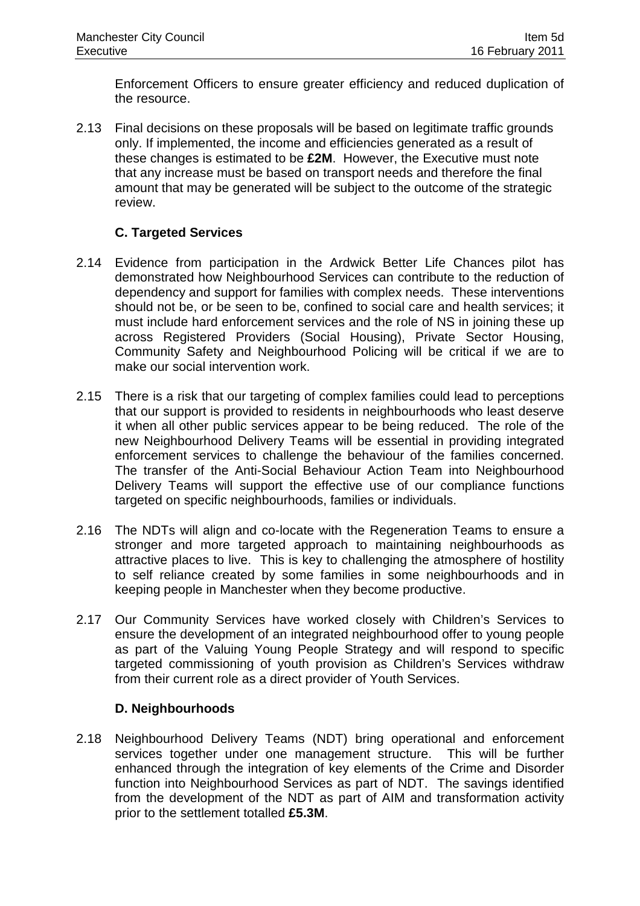Enforcement Officers to ensure greater efficiency and reduced duplication of the resource.

2.13 Final decisions on these proposals will be based on legitimate traffic grounds only. If implemented, the income and efficiencies generated as a result of these changes is estimated to be **£2M**. However, the Executive must note that any increase must be based on transport needs and therefore the final amount that may be generated will be subject to the outcome of the strategic review.

# **C. Targeted Services**

- 2.14 Evidence from participation in the Ardwick Better Life Chances pilot has demonstrated how Neighbourhood Services can contribute to the reduction of dependency and support for families with complex needs. These interventions should not be, or be seen to be, confined to social care and health services; it must include hard enforcement services and the role of NS in joining these up across Registered Providers (Social Housing), Private Sector Housing, Community Safety and Neighbourhood Policing will be critical if we are to make our social intervention work.
- 2.15 There is a risk that our targeting of complex families could lead to perceptions that our support is provided to residents in neighbourhoods who least deserve it when all other public services appear to be being reduced. The role of the new Neighbourhood Delivery Teams will be essential in providing integrated enforcement services to challenge the behaviour of the families concerned. The transfer of the Anti-Social Behaviour Action Team into Neighbourhood Delivery Teams will support the effective use of our compliance functions targeted on specific neighbourhoods, families or individuals.
- 2.16 The NDTs will align and co-locate with the Regeneration Teams to ensure a stronger and more targeted approach to maintaining neighbourhoods as attractive places to live. This is key to challenging the atmosphere of hostility to self reliance created by some families in some neighbourhoods and in keeping people in Manchester when they become productive.
- 2.17 Our Community Services have worked closely with Children's Services to ensure the development of an integrated neighbourhood offer to young people as part of the Valuing Young People Strategy and will respond to specific targeted commissioning of youth provision as Children's Services withdraw from their current role as a direct provider of Youth Services.

### **D. Neighbourhoods**

2.18 Neighbourhood Delivery Teams (NDT) bring operational and enforcement services together under one management structure. This will be further enhanced through the integration of key elements of the Crime and Disorder function into Neighbourhood Services as part of NDT. The savings identified from the development of the NDT as part of AIM and transformation activity prior to the settlement totalled **£5.3M**.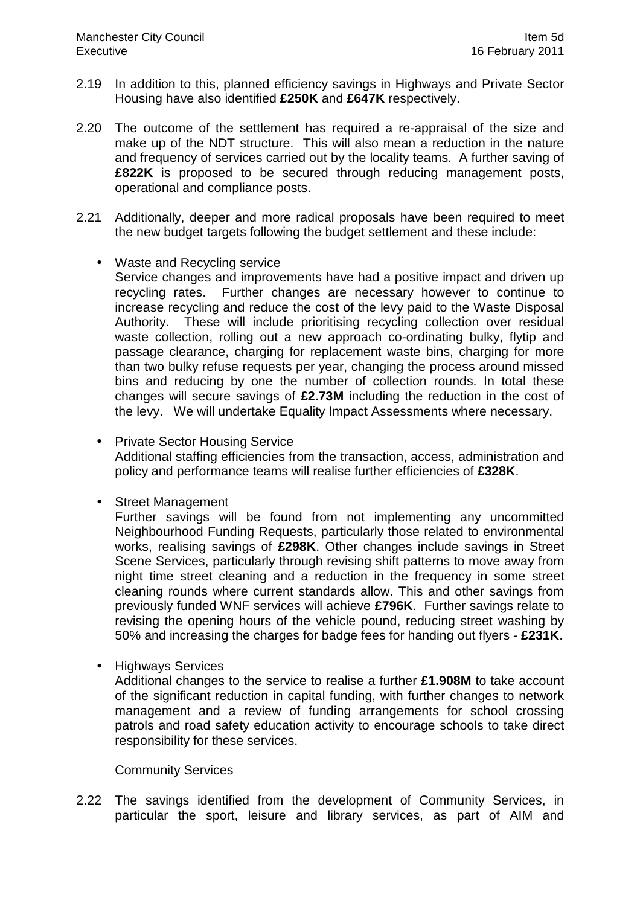- 2.19 In addition to this, planned efficiency savings in Highways and Private Sector Housing have also identified **£250K** and **£647K** respectively.
- 2.20 The outcome of the settlement has required a re-appraisal of the size and make up of the NDT structure. This will also mean a reduction in the nature and frequency of services carried out by the locality teams. A further saving of **£822K** is proposed to be secured through reducing management posts, operational and compliance posts.
- 2.21 Additionally, deeper and more radical proposals have been required to meet the new budget targets following the budget settlement and these include:
	- Waste and Recycling service Service changes and improvements have had a positive impact and driven up recycling rates. Further changes are necessary however to continue to increase recycling and reduce the cost of the levy paid to the Waste Disposal Authority. These will include prioritising recycling collection over residual waste collection, rolling out a new approach co-ordinating bulky, flytip and passage clearance, charging for replacement waste bins, charging for more than two bulky refuse requests per year, changing the process around missed bins and reducing by one the number of collection rounds. In total these changes will secure savings of **£2.73M** including the reduction in the cost of the levy. We will undertake Equality Impact Assessments where necessary.
	- Private Sector Housing Service Additional staffing efficiencies from the transaction, access, administration and policy and performance teams will realise further efficiencies of **£328K**.
	- Street Management

Further savings will be found from not implementing any uncommitted Neighbourhood Funding Requests, particularly those related to environmental works, realising savings of **£298K**. Other changes include savings in Street Scene Services, particularly through revising shift patterns to move away from night time street cleaning and a reduction in the frequency in some street cleaning rounds where current standards allow. This and other savings from previously funded WNF services will achieve **£796K**. Further savings relate to revising the opening hours of the vehicle pound, reducing street washing by 50% and increasing the charges for badge fees for handing out flyers - **£231K**.

• Highways Services

Additional changes to the service to realise a further **£1.908M** to take account of the significant reduction in capital funding, with further changes to network management and a review of funding arrangements for school crossing patrols and road safety education activity to encourage schools to take direct responsibility for these services.

#### Community Services

2.22 The savings identified from the development of Community Services, in particular the sport, leisure and library services, as part of AIM and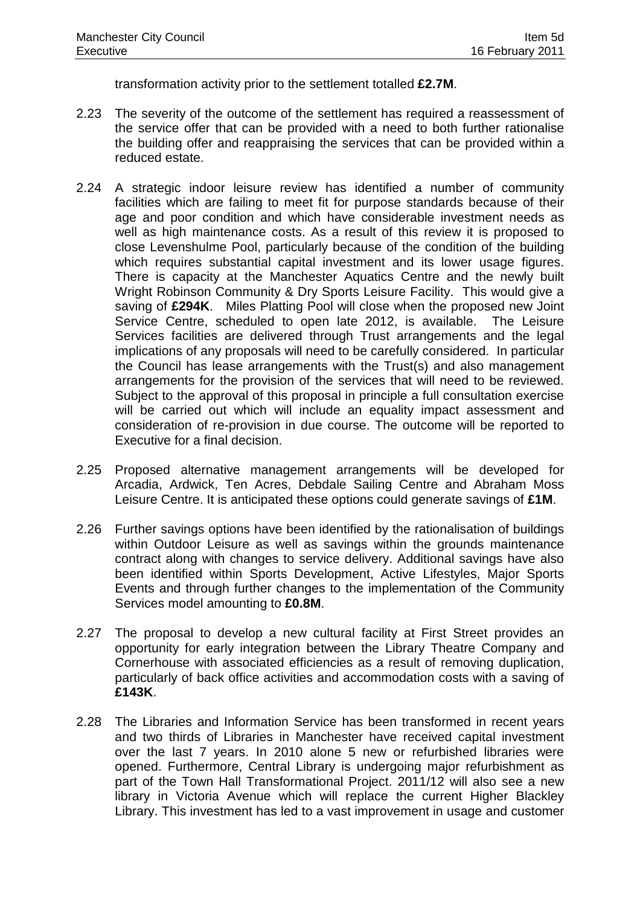transformation activity prior to the settlement totalled **£2.7M**.

- 2.23 The severity of the outcome of the settlement has required a reassessment of the service offer that can be provided with a need to both further rationalise the building offer and reappraising the services that can be provided within a reduced estate.
- 2.24 A strategic indoor leisure review has identified a number of community facilities which are failing to meet fit for purpose standards because of their age and poor condition and which have considerable investment needs as well as high maintenance costs. As a result of this review it is proposed to close Levenshulme Pool, particularly because of the condition of the building which requires substantial capital investment and its lower usage figures. There is capacity at the Manchester Aquatics Centre and the newly built Wright Robinson Community & Dry Sports Leisure Facility. This would give a saving of **£294K**. Miles Platting Pool will close when the proposed new Joint Service Centre, scheduled to open late 2012, is available. The Leisure Services facilities are delivered through Trust arrangements and the legal implications of any proposals will need to be carefully considered. In particular the Council has lease arrangements with the Trust(s) and also management arrangements for the provision of the services that will need to be reviewed. Subject to the approval of this proposal in principle a full consultation exercise will be carried out which will include an equality impact assessment and consideration of re-provision in due course. The outcome will be reported to Executive for a final decision.
- 2.25 Proposed alternative management arrangements will be developed for Arcadia, Ardwick, Ten Acres, Debdale Sailing Centre and Abraham Moss Leisure Centre. It is anticipated these options could generate savings of **£1M**.
- 2.26 Further savings options have been identified by the rationalisation of buildings within Outdoor Leisure as well as savings within the grounds maintenance contract along with changes to service delivery. Additional savings have also been identified within Sports Development, Active Lifestyles, Major Sports Events and through further changes to the implementation of the Community Services model amounting to **£0.8M**.
- 2.27 The proposal to develop a new cultural facility at First Street provides an opportunity for early integration between the Library Theatre Company and Cornerhouse with associated efficiencies as a result of removing duplication, particularly of back office activities and accommodation costs with a saving of **£143K**.
- 2.28 The Libraries and Information Service has been transformed in recent years and two thirds of Libraries in Manchester have received capital investment over the last 7 years. In 2010 alone 5 new or refurbished libraries were opened. Furthermore, Central Library is undergoing major refurbishment as part of the Town Hall Transformational Project. 2011/12 will also see a new library in Victoria Avenue which will replace the current Higher Blackley Library. This investment has led to a vast improvement in usage and customer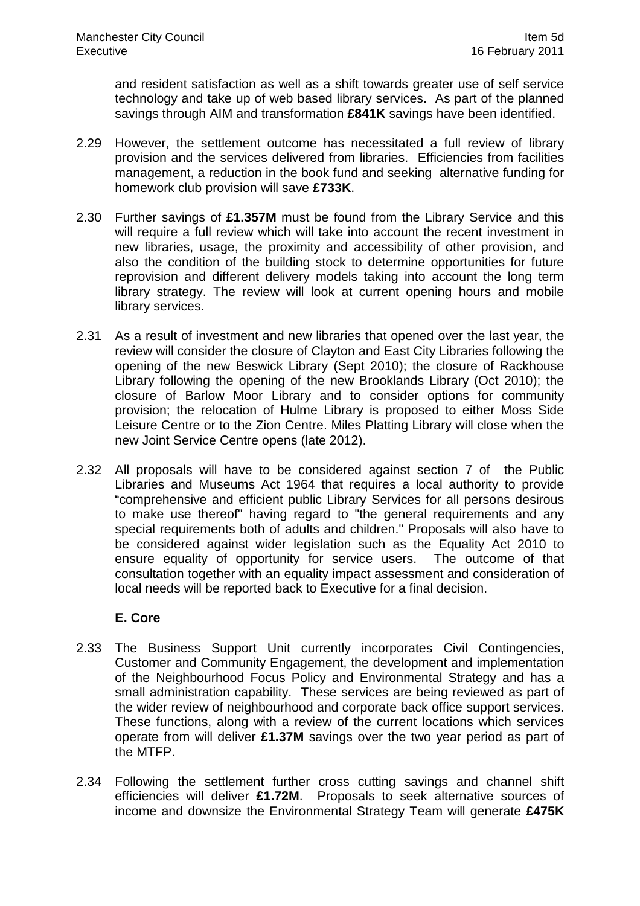and resident satisfaction as well as a shift towards greater use of self service technology and take up of web based library services. As part of the planned savings through AIM and transformation **£841K** savings have been identified.

- 2.29 However, the settlement outcome has necessitated a full review of library provision and the services delivered from libraries. Efficiencies from facilities management, a reduction in the book fund and seeking alternative funding for homework club provision will save **£733K**.
- 2.30 Further savings of **£1.357M** must be found from the Library Service and this will require a full review which will take into account the recent investment in new libraries, usage, the proximity and accessibility of other provision, and also the condition of the building stock to determine opportunities for future reprovision and different delivery models taking into account the long term library strategy. The review will look at current opening hours and mobile library services.
- 2.31 As a result of investment and new libraries that opened over the last year, the review will consider the closure of Clayton and East City Libraries following the opening of the new Beswick Library (Sept 2010); the closure of Rackhouse Library following the opening of the new Brooklands Library (Oct 2010); the closure of Barlow Moor Library and to consider options for community provision; the relocation of Hulme Library is proposed to either Moss Side Leisure Centre or to the Zion Centre. Miles Platting Library will close when the new Joint Service Centre opens (late 2012).
- 2.32 All proposals will have to be considered against section 7 of the Public Libraries and Museums Act 1964 that requires a local authority to provide "comprehensive and efficient public Library Services for all persons desirous to make use thereof" having regard to "the general requirements and any special requirements both of adults and children." Proposals will also have to be considered against wider legislation such as the Equality Act 2010 to ensure equality of opportunity for service users. The outcome of that consultation together with an equality impact assessment and consideration of local needs will be reported back to Executive for a final decision.

### **E. Core**

- 2.33 The Business Support Unit currently incorporates Civil Contingencies, Customer and Community Engagement, the development and implementation of the Neighbourhood Focus Policy and Environmental Strategy and has a small administration capability. These services are being reviewed as part of the wider review of neighbourhood and corporate back office support services. These functions, along with a review of the current locations which services operate from will deliver **£1.37M** savings over the two year period as part of the MTFP.
- 2.34 Following the settlement further cross cutting savings and channel shift efficiencies will deliver **£1.72M**. Proposals to seek alternative sources of income and downsize the Environmental Strategy Team will generate **£475K**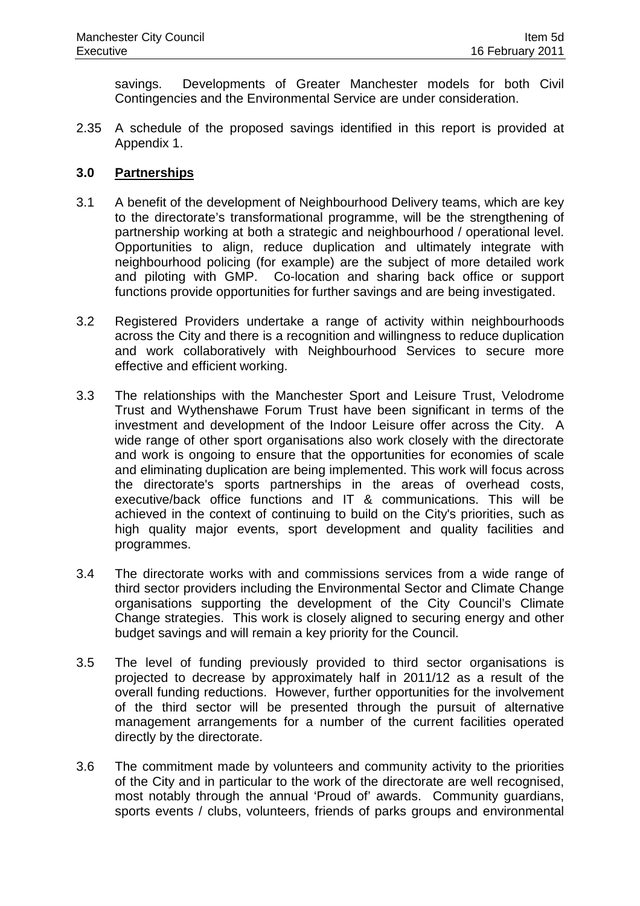savings. Developments of Greater Manchester models for both Civil Contingencies and the Environmental Service are under consideration.

2.35 A schedule of the proposed savings identified in this report is provided at Appendix 1.

### **3.0 Partnerships**

- 3.1 A benefit of the development of Neighbourhood Delivery teams, which are key to the directorate's transformational programme, will be the strengthening of partnership working at both a strategic and neighbourhood / operational level. Opportunities to align, reduce duplication and ultimately integrate with neighbourhood policing (for example) are the subject of more detailed work and piloting with GMP. Co-location and sharing back office or support functions provide opportunities for further savings and are being investigated.
- 3.2 Registered Providers undertake a range of activity within neighbourhoods across the City and there is a recognition and willingness to reduce duplication and work collaboratively with Neighbourhood Services to secure more effective and efficient working.
- 3.3 The relationships with the Manchester Sport and Leisure Trust, Velodrome Trust and Wythenshawe Forum Trust have been significant in terms of the investment and development of the Indoor Leisure offer across the City. A wide range of other sport organisations also work closely with the directorate and work is ongoing to ensure that the opportunities for economies of scale and eliminating duplication are being implemented. This work will focus across the directorate's sports partnerships in the areas of overhead costs, executive/back office functions and IT & communications. This will be achieved in the context of continuing to build on the City's priorities, such as high quality major events, sport development and quality facilities and programmes.
- 3.4 The directorate works with and commissions services from a wide range of third sector providers including the Environmental Sector and Climate Change organisations supporting the development of the City Council's Climate Change strategies. This work is closely aligned to securing energy and other budget savings and will remain a key priority for the Council.
- 3.5 The level of funding previously provided to third sector organisations is projected to decrease by approximately half in 2011/12 as a result of the overall funding reductions. However, further opportunities for the involvement of the third sector will be presented through the pursuit of alternative management arrangements for a number of the current facilities operated directly by the directorate.
- 3.6 The commitment made by volunteers and community activity to the priorities of the City and in particular to the work of the directorate are well recognised, most notably through the annual 'Proud of' awards. Community guardians, sports events / clubs, volunteers, friends of parks groups and environmental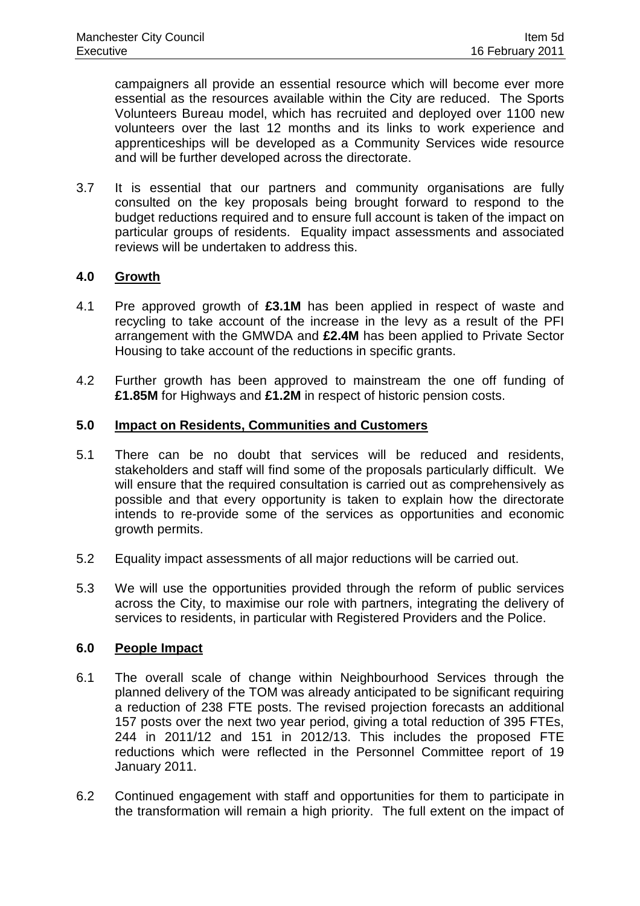campaigners all provide an essential resource which will become ever more essential as the resources available within the City are reduced. The Sports Volunteers Bureau model, which has recruited and deployed over 1100 new volunteers over the last 12 months and its links to work experience and apprenticeships will be developed as a Community Services wide resource and will be further developed across the directorate.

3.7 It is essential that our partners and community organisations are fully consulted on the key proposals being brought forward to respond to the budget reductions required and to ensure full account is taken of the impact on particular groups of residents. Equality impact assessments and associated reviews will be undertaken to address this.

### **4.0 Growth**

- 4.1 Pre approved growth of **£3.1M** has been applied in respect of waste and recycling to take account of the increase in the levy as a result of the PFI arrangement with the GMWDA and **£2.4M** has been applied to Private Sector Housing to take account of the reductions in specific grants.
- 4.2 Further growth has been approved to mainstream the one off funding of **£1.85M** for Highways and **£1.2M** in respect of historic pension costs.

#### **5.0 Impact on Residents, Communities and Customers**

- 5.1 There can be no doubt that services will be reduced and residents, stakeholders and staff will find some of the proposals particularly difficult. We will ensure that the required consultation is carried out as comprehensively as possible and that every opportunity is taken to explain how the directorate intends to re-provide some of the services as opportunities and economic growth permits.
- 5.2 Equality impact assessments of all major reductions will be carried out.
- 5.3 We will use the opportunities provided through the reform of public services across the City, to maximise our role with partners, integrating the delivery of services to residents, in particular with Registered Providers and the Police.

### **6.0 People Impact**

- 6.1 The overall scale of change within Neighbourhood Services through the planned delivery of the TOM was already anticipated to be significant requiring a reduction of 238 FTE posts. The revised projection forecasts an additional 157 posts over the next two year period, giving a total reduction of 395 FTEs, 244 in 2011/12 and 151 in 2012/13. This includes the proposed FTE reductions which were reflected in the Personnel Committee report of 19 January 2011.
- 6.2 Continued engagement with staff and opportunities for them to participate in the transformation will remain a high priority. The full extent on the impact of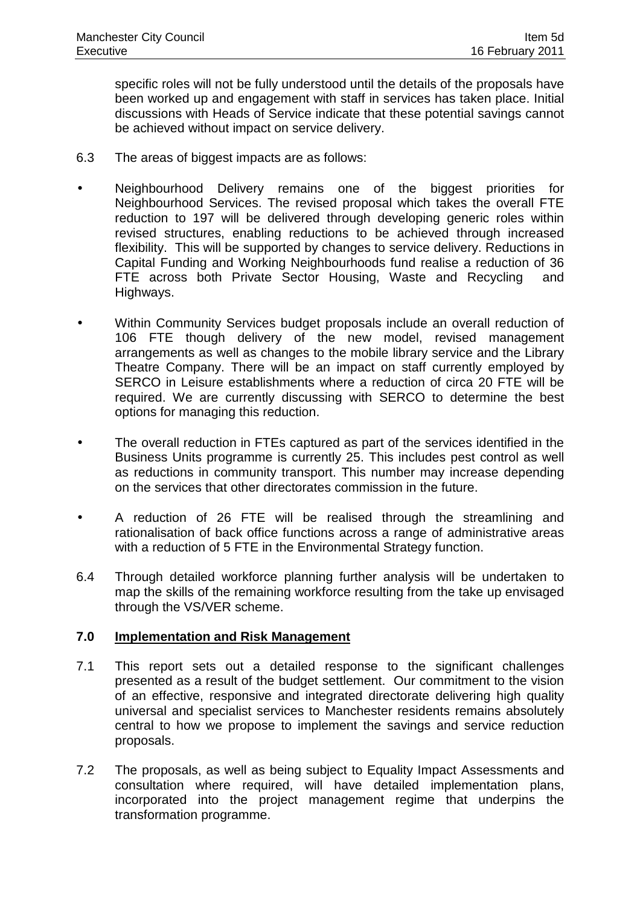specific roles will not be fully understood until the details of the proposals have been worked up and engagement with staff in services has taken place. Initial discussions with Heads of Service indicate that these potential savings cannot be achieved without impact on service delivery.

- 6.3 The areas of biggest impacts are as follows:
- Neighbourhood Delivery remains one of the biggest priorities for Neighbourhood Services. The revised proposal which takes the overall FTE reduction to 197 will be delivered through developing generic roles within revised structures, enabling reductions to be achieved through increased flexibility. This will be supported by changes to service delivery. Reductions in Capital Funding and Working Neighbourhoods fund realise a reduction of 36 FTE across both Private Sector Housing, Waste and Recycling and Highways.
- Within Community Services budget proposals include an overall reduction of 106 FTE though delivery of the new model, revised management arrangements as well as changes to the mobile library service and the Library Theatre Company. There will be an impact on staff currently employed by SERCO in Leisure establishments where a reduction of circa 20 FTE will be required. We are currently discussing with SERCO to determine the best options for managing this reduction.
- The overall reduction in FTEs captured as part of the services identified in the Business Units programme is currently 25. This includes pest control as well as reductions in community transport. This number may increase depending on the services that other directorates commission in the future.
- A reduction of 26 FTE will be realised through the streamlining and rationalisation of back office functions across a range of administrative areas with a reduction of 5 FTE in the Environmental Strategy function.
- 6.4 Through detailed workforce planning further analysis will be undertaken to map the skills of the remaining workforce resulting from the take up envisaged through the VS/VER scheme.

### **7.0 Implementation and Risk Management**

- 7.1 This report sets out a detailed response to the significant challenges presented as a result of the budget settlement. Our commitment to the vision of an effective, responsive and integrated directorate delivering high quality universal and specialist services to Manchester residents remains absolutely central to how we propose to implement the savings and service reduction proposals.
- 7.2 The proposals, as well as being subject to Equality Impact Assessments and consultation where required, will have detailed implementation plans, incorporated into the project management regime that underpins the transformation programme.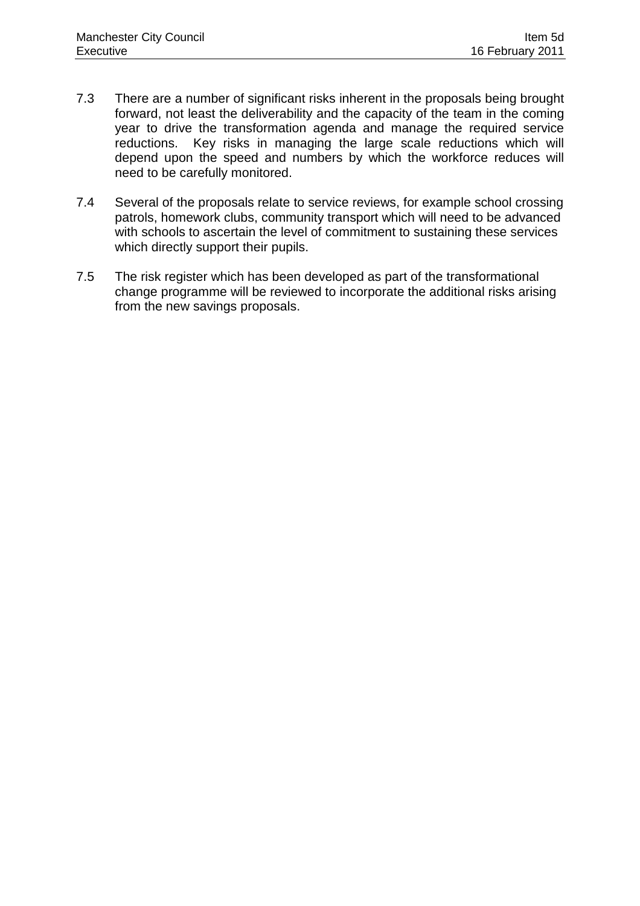- 7.3 There are a number of significant risks inherent in the proposals being brought forward, not least the deliverability and the capacity of the team in the coming year to drive the transformation agenda and manage the required service reductions. Key risks in managing the large scale reductions which will depend upon the speed and numbers by which the workforce reduces will need to be carefully monitored.
- 7.4 Several of the proposals relate to service reviews, for example school crossing patrols, homework clubs, community transport which will need to be advanced with schools to ascertain the level of commitment to sustaining these services which directly support their pupils.
- 7.5 The risk register which has been developed as part of the transformational change programme will be reviewed to incorporate the additional risks arising from the new savings proposals.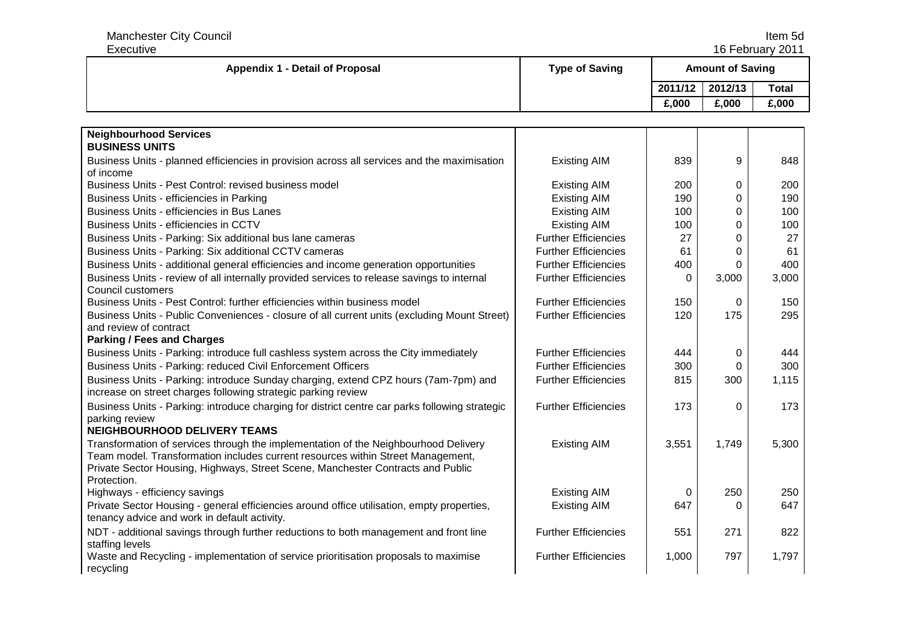Manchester City Council and the control of the control of the control of the control of the control of the control of the control of the control of the control of the control of the control of the control of the control of Executive 16 February 2011Appendix 1 - Detail of Proposal **Type of Saving Amount of Saving Amount of Saving Amount of Saving Amount of Saving 2011/12 2012/13 Total £,000 £,000 £,000 Neighbourhood Services BUSINESS UNITS** Business Units - planned efficiencies in provision across all services and the maximisation of income Business Units - Pest Control: revised business model **Existing AIM** Existing AIM Existing AIM | 839 <sup>9</sup> <sup>848</sup> M 200 0 200<br>M 100 0 100 Business Units - efficiencies in Parking Existing Existing AIM Existing AIM M | 190 | 0 | 190<br>M | 190 | 1 Business Units - efficiencies in Bus Lanes **Existing AIM** Existing AIM M | 100 | 100<br>M | 100 | 100 Business Units - efficiencies in CCTV **Existing AIM** Existing AIM M 100 0 100<br>naise 27 0 27 Business Units - Parking: Six additional bus lane cameras Further Further Efficiencies Further Efficiencies 27 7 | 0 | 27 Business Units - Parking: Six additional CCTV cameras Function Communication Communication COTV cameras Function COTV cameras Function COTV cameras Function COTV cameras Function Communication COTV cameras Function COTV ca 1 | 0 | 61 Business Units - additional general efficiencies and income generation opportunities Further Efficiencies (400 0 | 400 Business Units - review of all internally provided services to release savings to internal Council customers Business Units - Pest Control: further efficiencies within business model Further Efficiencies 150 Further Efficiencies | 0 3,000 3,000  $\begin{array}{c|c} 150 & 0 & 150 \\ 120 & 175 & 295 \end{array}$ Business Units - Public Conveniences - closure of all current units (excluding Mount Street) and review of contract **Parking / Fees and Charges** Further Efficiencies <sup>175</sup> <sup>295</sup> Business Units - Parking: introduce full cashless system across the City immediately Further Efficiencies | 444 4 0 444 Business Units - Parking: reduced Civil Enforcement Officers Function Communication of Further Efficiencies Function 300 0 300 Business Units - Parking: introduce Sunday charging, extend CPZ hours (7am-7pm) and increase on street charges following strategic parking review Further Efficiencies | 815 <sup>300</sup> 1,115 Business Units - Parking: introduce charging for district centre car parks following strategic parking review **NEIGHBOURHOOD DELIVERY TEAMS** Further Efficiencies | 173 <sup>0</sup> <sup>173</sup> Transformation of services through the implementation of the Neighbourhood Delivery Team model. Transformation includes current resources within Street Management, Private Sector Housing, Highways, Street Scene, Manchester Contracts and Public Protection. Highways - efficiency savings **Existing AIM** 0 Existing AIM 13,551 1,749 5,300 0 | 250 | 250 Private Sector Housing - general efficiencies around office utilisation, empty properties, tenancy advice and work in default activity. Existing AIM | 647 <sup>0</sup> <sup>647</sup> NDT - additional savings through further reductions to both management and front line staffing levels Waste and Recycling - implementation of service prioritisation proposals to maximise Further Efficiencies | 551 <sup>271</sup> <sup>822</sup> recycling Further Efficiencies | 1,000 <sup>797</sup> 1,797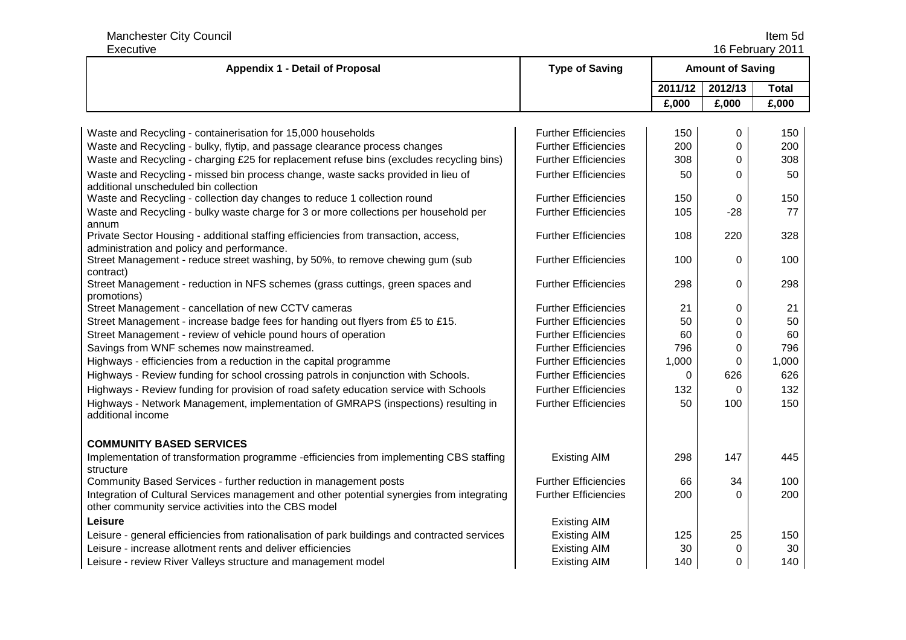Manchester City Council Item 5d

16 February 2011

| Executive<br>16 February 2011                                                                                                                       |                             |                         |          |              |
|-----------------------------------------------------------------------------------------------------------------------------------------------------|-----------------------------|-------------------------|----------|--------------|
| <b>Appendix 1 - Detail of Proposal</b>                                                                                                              | <b>Type of Saving</b>       | <b>Amount of Saving</b> |          |              |
|                                                                                                                                                     |                             | 2011/12                 | 2012/13  | <b>Total</b> |
|                                                                                                                                                     |                             | £,000                   | £,000    | £,000        |
|                                                                                                                                                     |                             |                         |          |              |
| Waste and Recycling - containerisation for 15,000 households                                                                                        | <b>Further Efficiencies</b> | 150                     | 0        | 150          |
| Waste and Recycling - bulky, flytip, and passage clearance process changes                                                                          | <b>Further Efficiencies</b> | 200                     | 0        | 200          |
| Waste and Recycling - charging £25 for replacement refuse bins (excludes recycling bins)                                                            | <b>Further Efficiencies</b> | 308                     | 0        | 308          |
| Waste and Recycling - missed bin process change, waste sacks provided in lieu of<br>additional unscheduled bin collection                           | <b>Further Efficiencies</b> | 50                      | $\Omega$ | 50           |
| Waste and Recycling - collection day changes to reduce 1 collection round                                                                           | <b>Further Efficiencies</b> | 150                     | 0        | 150          |
| Waste and Recycling - bulky waste charge for 3 or more collections per household per<br>annum                                                       | <b>Further Efficiencies</b> | 105                     | $-28$    | 77           |
| Private Sector Housing - additional staffing efficiencies from transaction, access,<br>administration and policy and performance.                   | <b>Further Efficiencies</b> | 108                     | 220      | 328          |
| Street Management - reduce street washing, by 50%, to remove chewing gum (sub<br>contract)                                                          | <b>Further Efficiencies</b> | 100                     | $\Omega$ | 100          |
| Street Management - reduction in NFS schemes (grass cuttings, green spaces and<br>promotions)                                                       | <b>Further Efficiencies</b> | 298                     | $\Omega$ | 298          |
| Street Management - cancellation of new CCTV cameras                                                                                                | <b>Further Efficiencies</b> | 21                      | 0        | 21           |
| Street Management - increase badge fees for handing out flyers from £5 to £15.                                                                      | <b>Further Efficiencies</b> | 50                      | 0        | 50           |
| Street Management - review of vehicle pound hours of operation                                                                                      | <b>Further Efficiencies</b> | 60                      | 0        | 60           |
| Savings from WNF schemes now mainstreamed.                                                                                                          | <b>Further Efficiencies</b> | 796                     | 0        | 796          |
| Highways - efficiencies from a reduction in the capital programme                                                                                   | <b>Further Efficiencies</b> | 1,000                   | 0        | 1,000        |
| Highways - Review funding for school crossing patrols in conjunction with Schools.                                                                  | <b>Further Efficiencies</b> | 0                       | 626      | 626          |
| Highways - Review funding for provision of road safety education service with Schools                                                               | <b>Further Efficiencies</b> | 132                     | 0        | 132          |
| Highways - Network Management, implementation of GMRAPS (inspections) resulting in<br>additional income                                             | <b>Further Efficiencies</b> | 50                      | 100      | 150          |
| <b>COMMUNITY BASED SERVICES</b>                                                                                                                     |                             |                         |          |              |
| Implementation of transformation programme -efficiencies from implementing CBS staffing<br>structure                                                | <b>Existing AIM</b>         | 298                     | 147      | 445          |
| Community Based Services - further reduction in management posts                                                                                    | <b>Further Efficiencies</b> | 66                      | 34       | 100          |
| Integration of Cultural Services management and other potential synergies from integrating<br>other community service activities into the CBS model | <b>Further Efficiencies</b> | 200                     | 0        | 200          |
| Leisure                                                                                                                                             | <b>Existing AIM</b>         |                         |          |              |
| Leisure - general efficiencies from rationalisation of park buildings and contracted services                                                       | <b>Existing AIM</b>         | 125                     | 25       | 150          |
| Leisure - increase allotment rents and deliver efficiencies                                                                                         | <b>Existing AIM</b>         | 30                      | 0        | 30           |
| Leisure - review River Valleys structure and management model                                                                                       | <b>Existing AIM</b>         | 140                     | 0        | 140          |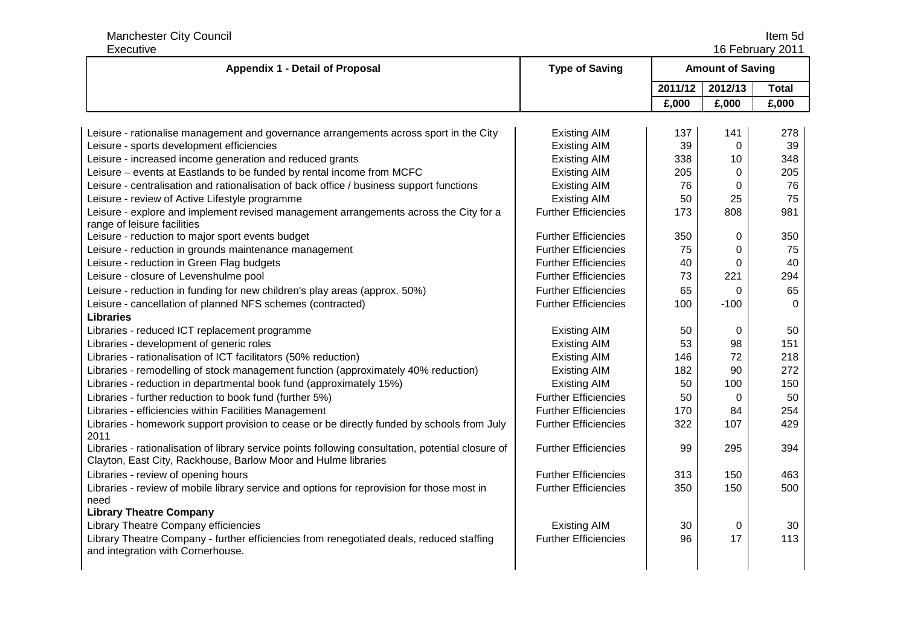Manchester City Council Item 5d

ltem 5d<br>16 February 2011

| Executive<br>16 February 2011                                                                                                                                        |                             |          |                         |              |
|----------------------------------------------------------------------------------------------------------------------------------------------------------------------|-----------------------------|----------|-------------------------|--------------|
| <b>Appendix 1 - Detail of Proposal</b>                                                                                                                               | <b>Type of Saving</b>       |          | <b>Amount of Saving</b> |              |
|                                                                                                                                                                      |                             | 2011/12  | 2012/13                 | <b>Total</b> |
|                                                                                                                                                                      |                             | £,000    | £,000                   | £,000        |
|                                                                                                                                                                      |                             |          |                         |              |
| Leisure - rationalise management and governance arrangements across sport in the City                                                                                | <b>Existing AIM</b>         | 137      | 141                     | 278          |
| Leisure - sports development efficiencies                                                                                                                            | <b>Existing AIM</b>         | 39       | $\Omega$                | 39           |
| Leisure - increased income generation and reduced grants                                                                                                             | <b>Existing AIM</b>         | 338      | 10                      | 348          |
| Leisure - events at Eastlands to be funded by rental income from MCFC                                                                                                | <b>Existing AIM</b>         | 205      | 0                       | 205          |
| Leisure - centralisation and rationalisation of back office / business support functions                                                                             | <b>Existing AIM</b>         | 76       | 0                       | 76           |
| Leisure - review of Active Lifestyle programme                                                                                                                       | <b>Existing AIM</b>         | 50       | 25                      | 75           |
| Leisure - explore and implement revised management arrangements across the City for a<br>range of leisure facilities                                                 | <b>Further Efficiencies</b> | 173      | 808                     | 981          |
| Leisure - reduction to major sport events budget                                                                                                                     | <b>Further Efficiencies</b> | 350      | 0                       | 350          |
| Leisure - reduction in grounds maintenance management                                                                                                                | <b>Further Efficiencies</b> | 75       | 0                       | 75           |
| Leisure - reduction in Green Flag budgets                                                                                                                            | <b>Further Efficiencies</b> | 40       | 0                       | 40           |
| Leisure - closure of Levenshulme pool                                                                                                                                | <b>Further Efficiencies</b> | 73       | 221                     | 294          |
| Leisure - reduction in funding for new children's play areas (approx. 50%)                                                                                           | <b>Further Efficiencies</b> | 65       | 0                       | 65           |
| Leisure - cancellation of planned NFS schemes (contracted)                                                                                                           | <b>Further Efficiencies</b> | 100      | $-100$                  | $\Omega$     |
| <b>Libraries</b>                                                                                                                                                     |                             |          |                         |              |
| Libraries - reduced ICT replacement programme                                                                                                                        | <b>Existing AIM</b>         | 50       | 0                       | 50           |
| Libraries - development of generic roles                                                                                                                             | <b>Existing AIM</b>         | 53       | 98                      | 151          |
| Libraries - rationalisation of ICT facilitators (50% reduction)                                                                                                      | <b>Existing AIM</b>         | 146      | 72                      | 218          |
| Libraries - remodelling of stock management function (approximately 40% reduction)                                                                                   | <b>Existing AIM</b>         | 182      | 90                      | 272          |
| Libraries - reduction in departmental book fund (approximately 15%)                                                                                                  | <b>Existing AIM</b>         | 50       | 100                     | 150          |
| Libraries - further reduction to book fund (further 5%)                                                                                                              | <b>Further Efficiencies</b> | 50       | $\Omega$                | 50           |
| Libraries - efficiencies within Facilities Management                                                                                                                | <b>Further Efficiencies</b> | 170      | 84                      | 254          |
| Libraries - homework support provision to cease or be directly funded by schools from July<br>2011                                                                   | <b>Further Efficiencies</b> | 322      | 107                     | 429          |
| Libraries - rationalisation of library service points following consultation, potential closure of<br>Clayton, East City, Rackhouse, Barlow Moor and Hulme libraries | <b>Further Efficiencies</b> | 99       | 295                     | 394          |
| Libraries - review of opening hours                                                                                                                                  | <b>Further Efficiencies</b> | 313      | 150                     | 463          |
| Libraries - review of mobile library service and options for reprovision for those most in                                                                           | <b>Further Efficiencies</b> | 350      | 150                     | 500          |
| need<br><b>Library Theatre Company</b>                                                                                                                               |                             |          |                         |              |
| Library Theatre Company efficiencies                                                                                                                                 | <b>Existing AIM</b>         |          |                         |              |
|                                                                                                                                                                      | <b>Further Efficiencies</b> | 30<br>96 | 0<br>17                 | 30<br>113    |
| Library Theatre Company - further efficiencies from renegotiated deals, reduced staffing<br>and integration with Cornerhouse.                                        |                             |          |                         |              |
|                                                                                                                                                                      |                             |          |                         |              |